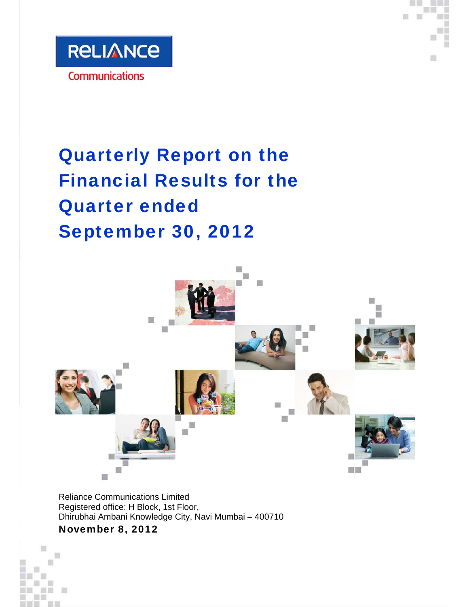



## Quarterly Report on the Financial Results for the Quarter ended September 30, 2012



Reliance Communications Limited Registered office: H Block, 1st Floor, Dhirubhai Ambani Knowledge City, Navi Mumbai – 400710

### November 8, 2012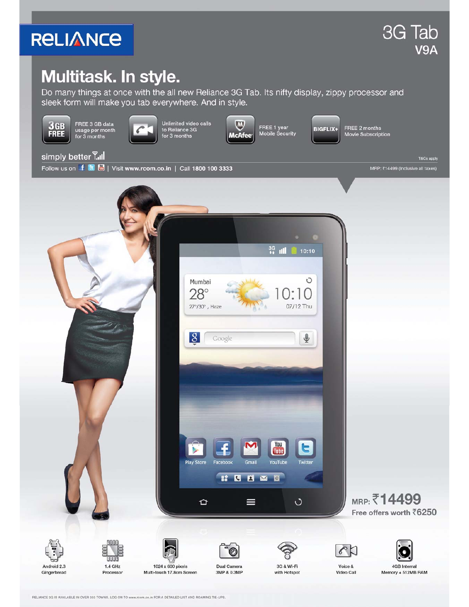

## Multitask. In style.

Do many things at once with the all new Reliance 3G Tab. Its nifty display, zippy processor and sleek form will make you tab everywhere. And in style.

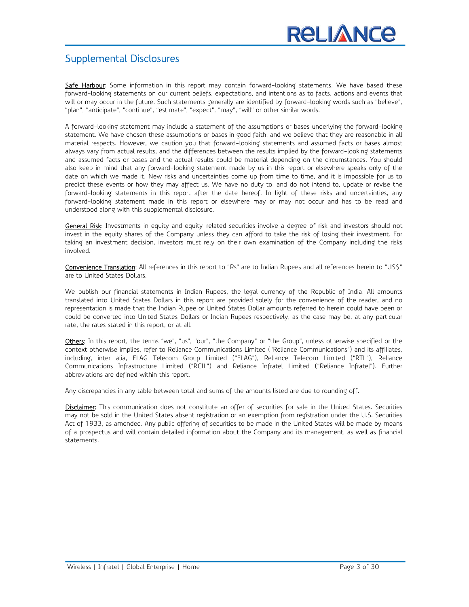## Supplemental Disclosures

Safe Harbour: Some information in this report may contain forward-looking statements. We have based these forward-looking statements on our current beliefs, expectations, and intentions as to facts, actions and events that will or may occur in the future. Such statements generally are identified by forward-looking words such as "believe", "plan", "anticipate", "continue", "estimate", "expect", "may", "will" or other similar words.

A forward-looking statement may include a statement of the assumptions or bases underlying the forward-looking statement. We have chosen these assumptions or bases in good faith, and we believe that they are reasonable in all material respects. However, we caution you that forward-looking statements and assumed facts or bases almost always vary from actual results, and the differences between the results implied by the forward-looking statements and assumed facts or bases and the actual results could be material depending on the circumstances. You should also keep in mind that any forward-looking statement made by us in this report or elsewhere speaks only of the date on which we made it. New risks and uncertainties come up from time to time, and it is impossible for us to predict these events or how they may affect us. We have no duty to, and do not intend to, update or revise the forward-looking statements in this report after the date hereof. In light of these risks and uncertainties, any forward-looking statement made in this report or elsewhere may or may not occur and has to be read and understood along with this supplemental disclosure.

General Risk: Investments in equity and equity-related securities involve a degree of risk and investors should not invest in the equity shares of the Company unless they can afford to take the risk of losing their investment. For taking an investment decision, investors must rely on their own examination of the Company including the risks involved.

Convenience Translation: All references in this report to "Rs" are to Indian Rupees and all references herein to "US\$" are to United States Dollars.

We publish our financial statements in Indian Rupees, the legal currency of the Republic of India. All amounts translated into United States Dollars in this report are provided solely for the convenience of the reader, and no representation is made that the Indian Rupee or United States Dollar amounts referred to herein could have been or could be converted into United States Dollars or Indian Rupees respectively, as the case may be, at any particular rate, the rates stated in this report, or at all.

Others: In this report, the terms "we", "us", "our", "the Company" or "the Group", unless otherwise specified or the context otherwise implies, refer to Reliance Communications Limited ("Reliance Communications") and its affiliates, including, inter alia, FLAG Telecom Group Limited ("FLAG"), Reliance Telecom Limited ("RTL"), Reliance Communications Infrastructure Limited ("RCIL") and Reliance Infratel Limited ("Reliance Infratel"). Further abbreviations are defined within this report.

Any discrepancies in any table between total and sums of the amounts listed are due to rounding off.

Disclaimer: This communication does not constitute an offer of securities for sale in the United States. Securities may not be sold in the United States absent registration or an exemption from registration under the U.S. Securities Act of 1933, as amended. Any public offering of securities to be made in the United States will be made by means of a prospectus and will contain detailed information about the Company and its management, as well as financial statements.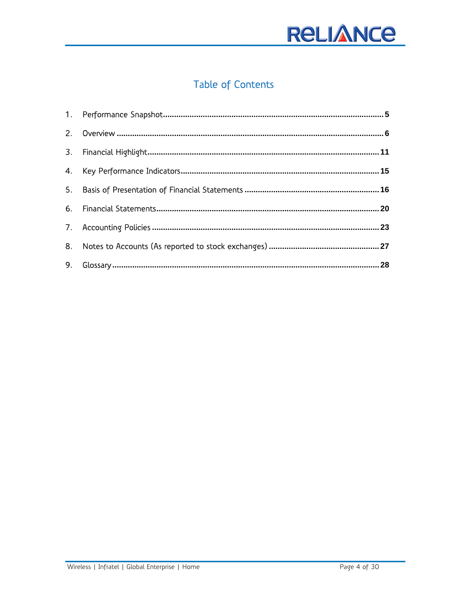## Table of Contents

| 9 <sub>1</sub> |  |
|----------------|--|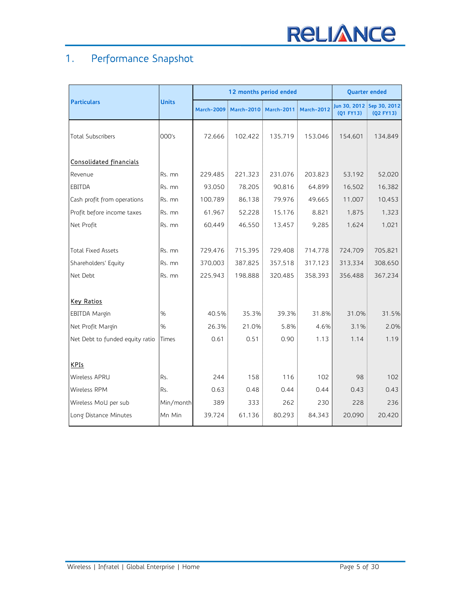## 1. Performance Snapshot

|                                 |              |                   |         | 12 months period ended  |                   | <b>Quarter ended</b><br>Jun 30, 2012 Sep 30, 2012<br>(01 FY13)<br>154,601<br>153,046 |           |
|---------------------------------|--------------|-------------------|---------|-------------------------|-------------------|--------------------------------------------------------------------------------------|-----------|
| <b>Particulars</b>              | <b>Units</b> | <b>March-2009</b> |         | March-2010   March-2011 | <b>March-2012</b> |                                                                                      | (Q2 FY13) |
| <b>Total Subscribers</b>        | 000's        | 72.666            | 102,422 | 135,719                 |                   |                                                                                      | 134,849   |
| Consolidated financials         |              |                   |         |                         |                   |                                                                                      |           |
| Revenue                         | Rs. mn       | 229,485           | 221,323 | 231,076                 | 203,823           | 53,192                                                                               | 52,020    |
| EBITDA                          | Rs. mn       | 93,050            | 78,205  | 90.816                  | 64.899            | 16,502                                                                               | 16,382    |
| Cash profit from operations     | Rs. mn       | 100,789           | 86,138  | 79,976                  | 49,665            | 11,007                                                                               | 10,453    |
| Profit before income taxes      | Rs. mn       | 61,967            | 52,228  | 15,176                  | 8,821             | 1,875                                                                                | 1,323     |
| Net Profit                      | Rs. mn       | 60,449            | 46,550  | 13,457                  | 9,285             | 1,624                                                                                | 1,021     |
| <b>Total Fixed Assets</b>       | Rs. mn       | 729,476           | 715,395 | 729,408                 | 714,778           | 724,709                                                                              | 705,821   |
| Shareholders' Equity            | Rs. mn       | 370,003           | 387,825 | 357,518                 | 317,123           | 313,334                                                                              | 308,650   |
| Net Debt                        | Rs. mn       | 225,943           | 198,888 | 320,485                 | 358,393           | 356,488                                                                              | 367,234   |
| <b>Key Ratios</b>               |              |                   |         |                         |                   |                                                                                      |           |
| EBITDA Margin                   | %            | 40.5%             | 35.3%   | 39.3%                   | 31.8%             | 31.0%                                                                                | 31.5%     |
| Net Profit Margin               | %            | 26.3%             | 21.0%   | 5.8%                    | 4.6%              | 3.1%                                                                                 | 2.0%      |
| Net Debt to funded equity ratio | Times        | 0.61              | 0.51    | 0.90                    | 1.13              | 1.14                                                                                 | 1.19      |
| <b>KPIs</b>                     |              |                   |         |                         |                   |                                                                                      |           |
| <b>Wireless APRU</b>            | Rs.          | 244               | 158     | 116                     | 102               | 98                                                                                   | 102       |
| Wireless RPM                    | Rs.          | 0.63              | 0.48    | 0.44                    | 0.44              | 0.43                                                                                 | 0.43      |
| Wireless MoU per sub            | Min/month    | 389               | 333     | 262                     | 230               | 228                                                                                  | 236       |
| Long Distance Minutes           | Mn Min       | 39,724            | 61,136  | 80,293                  | 84,343            | 20,090                                                                               | 20,420    |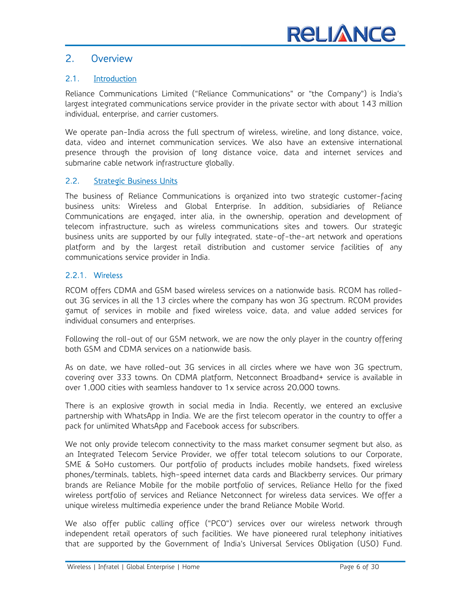### 2. Overview

#### 2.1. Introduction

Reliance Communications Limited ("Reliance Communications" or "the Company") is India's largest integrated communications service provider in the private sector with about 143 million individual, enterprise, and carrier customers.

We operate pan-India across the full spectrum of wireless, wireline, and long distance, voice, data, video and internet communication services. We also have an extensive international presence through the provision of long distance voice, data and internet services and submarine cable network infrastructure globally.

#### 2.2. Strategic Business Units

The business of Reliance Communications is organized into two strategic customer-facing business units: Wireless and Global Enterprise. In addition, subsidiaries of Reliance Communications are engaged, inter alia, in the ownership, operation and development of telecom infrastructure, such as wireless communications sites and towers. Our strategic business units are supported by our fully integrated, state-of-the-art network and operations platform and by the largest retail distribution and customer service facilities of any communications service provider in India.

#### 2.2.1. Wireless

RCOM offers CDMA and GSM based wireless services on a nationwide basis. RCOM has rolledout 3G services in all the 13 circles where the company has won 3G spectrum. RCOM provides gamut of services in mobile and fixed wireless voice, data, and value added services for individual consumers and enterprises.

Following the roll-out of our GSM network, we are now the only player in the country offering both GSM and CDMA services on a nationwide basis.

As on date, we have rolled-out 3G services in all circles where we have won 3G spectrum, covering over 333 towns. On CDMA platform, Netconnect Broadband+ service is available in over 1,000 cities with seamless handover to 1x service across 20,000 towns.

There is an explosive growth in social media in India. Recently, we entered an exclusive partnership with WhatsApp in India. We are the first telecom operator in the country to offer a pack for unlimited WhatsApp and Facebook access for subscribers.

We not only provide telecom connectivity to the mass market consumer segment but also, as an Integrated Telecom Service Provider, we offer total telecom solutions to our Corporate, SME & SoHo customers. Our portfolio of products includes mobile handsets, fixed wireless phones/terminals, tablets, high-speed internet data cards and Blackberry services. Our primary brands are Reliance Mobile for the mobile portfolio of services, Reliance Hello for the fixed wireless portfolio of services and Reliance Netconnect for wireless data services. We offer a unique wireless multimedia experience under the brand Reliance Mobile World.

We also offer public calling office ("PCO") services over our wireless network through independent retail operators of such facilities. We have pioneered rural telephony initiatives that are supported by the Government of India's Universal Services Obligation (USO) Fund.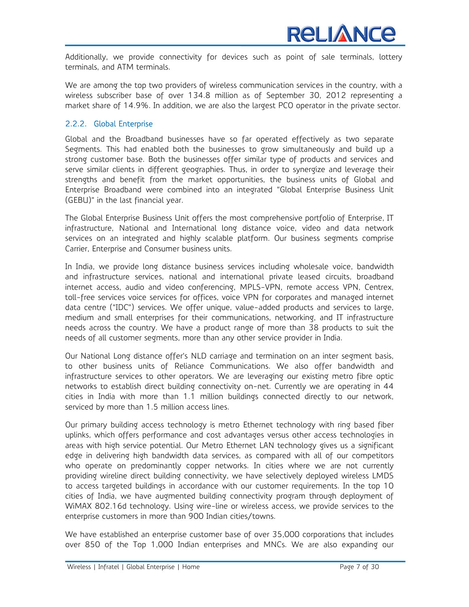

Additionally, we provide connectivity for devices such as point of sale terminals, lottery terminals, and ATM terminals.

We are among the top two providers of wireless communication services in the country, with a wireless subscriber base of over 134.8 million as of September 30, 2012 representing a market share of 14.9%. In addition, we are also the largest PCO operator in the private sector.

#### 2.2.2. Global Enterprise

Global and the Broadband businesses have so far operated effectively as two separate Segments. This had enabled both the businesses to grow simultaneously and build up a strong customer base. Both the businesses offer similar type of products and services and serve similar clients in different geographies. Thus, in order to synergize and leverage their strengths and benefit from the market opportunities, the business units of Global and Enterprise Broadband were combined into an integrated "Global Enterprise Business Unit (GEBU)" in the last financial year.

The Global Enterprise Business Unit offers the most comprehensive portfolio of Enterprise, IT infrastructure, National and International long distance voice, video and data network services on an integrated and highly scalable platform. Our business segments comprise Carrier, Enterprise and Consumer business units.

In India, we provide long distance business services including wholesale voice, bandwidth and infrastructure services, national and international private leased circuits, broadband internet access, audio and video conferencing, MPLS-VPN, remote access VPN, Centrex, toll-free services voice services for offices, voice VPN for corporates and managed internet data centre ("IDC") services. We offer unique, value-added products and services to large, medium and small enterprises for their communications, networking, and IT infrastructure needs across the country. We have a product range of more than 38 products to suit the needs of all customer segments, more than any other service provider in India.

Our National Long distance offer's NLD carriage and termination on an inter segment basis, to other business units of Reliance Communications. We also offer bandwidth and infrastructure services to other operators. We are leveraging our existing metro fibre optic networks to establish direct building connectivity on-net. Currently we are operating in 44 cities in India with more than 1.1 million buildings connected directly to our network, serviced by more than 1.5 million access lines.

Our primary building access technology is metro Ethernet technology with ring based fiber uplinks, which offers performance and cost advantages versus other access technologies in areas with high service potential. Our Metro Ethernet LAN technology gives us a significant edge in delivering high bandwidth data services, as compared with all of our competitors who operate on predominantly copper networks. In cities where we are not currently providing wireline direct building connectivity, we have selectively deployed wireless LMDS to access targeted buildings in accordance with our customer requirements. In the top 10 cities of India, we have augmented building connectivity program through deployment of WiMAX 802.16d technology. Using wire-line or wireless access, we provide services to the enterprise customers in more than 900 Indian cities/towns.

We have established an enterprise customer base of over 35,000 corporations that includes over 850 of the Top 1,000 Indian enterprises and MNCs. We are also expanding our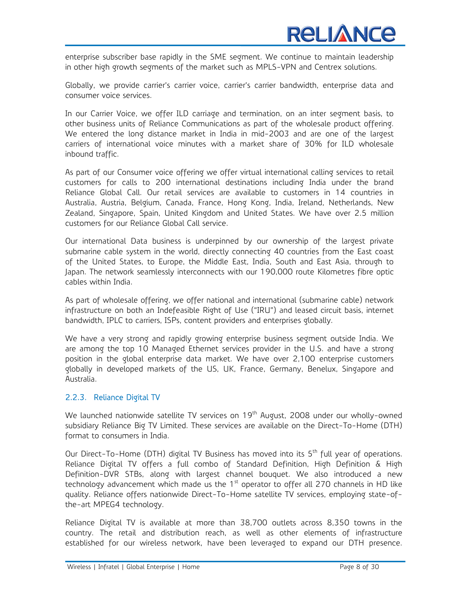

enterprise subscriber base rapidly in the SME segment. We continue to maintain leadership in other high growth segments of the market such as MPLS-VPN and Centrex solutions.

Globally, we provide carrier's carrier voice, carrier's carrier bandwidth, enterprise data and consumer voice services.

In our Carrier Voice, we offer ILD carriage and termination, on an inter segment basis, to other business units of Reliance Communications as part of the wholesale product offering. We entered the long distance market in India in mid-2003 and are one of the largest carriers of international voice minutes with a market share of 30% for ILD wholesale inbound traffic.

As part of our Consumer voice offering we offer virtual international calling services to retail customers for calls to 200 international destinations including India under the brand Reliance Global Call. Our retail services are available to customers in 14 countries in Australia, Austria, Belgium, Canada, France, Hong Kong, India, Ireland, Netherlands, New Zealand, Singapore, Spain, United Kingdom and United States. We have over 2.5 million customers for our Reliance Global Call service.

Our international Data business is underpinned by our ownership of the largest private submarine cable system in the world, directly connecting 40 countries from the East coast of the United States, to Europe, the Middle East, India, South and East Asia, through to Japan. The network seamlessly interconnects with our 190,000 route Kilometres fibre optic cables within India.

As part of wholesale offering, we offer national and international (submarine cable) network infrastructure on both an Indefeasible Right of Use ("IRU") and leased circuit basis, internet bandwidth, IPLC to carriers, ISPs, content providers and enterprises globally.

We have a very strong and rapidly growing enterprise business segment outside India. We are among the top 10 Managed Ethernet services provider in the U.S. and have a strong position in the global enterprise data market. We have over 2,100 enterprise customers globally in developed markets of the US, UK, France, Germany, Benelux, Singapore and Australia.

#### 2.2.3. Reliance Digital TV

We launched nationwide satellite TV services on 19<sup>th</sup> August, 2008 under our wholly-owned subsidiary Reliance Big TV Limited. These services are available on the Direct-To-Home (DTH) format to consumers in India.

Our Direct-To-Home (DTH) digital TV Business has moved into its 5<sup>th</sup> full year of operations. Reliance Digital TV offers a full combo of Standard Definition, High Definition & High Definition-DVR STBs, along with largest channel bouquet. We also introduced a new technology advancement which made us the  $1<sup>st</sup>$  operator to offer all 270 channels in HD like quality. Reliance offers nationwide Direct-To-Home satellite TV services, employing state-ofthe-art MPEG4 technology.

Reliance Digital TV is available at more than 38,700 outlets across 8,350 towns in the country. The retail and distribution reach, as well as other elements of infrastructure established for our wireless network, have been leveraged to expand our DTH presence.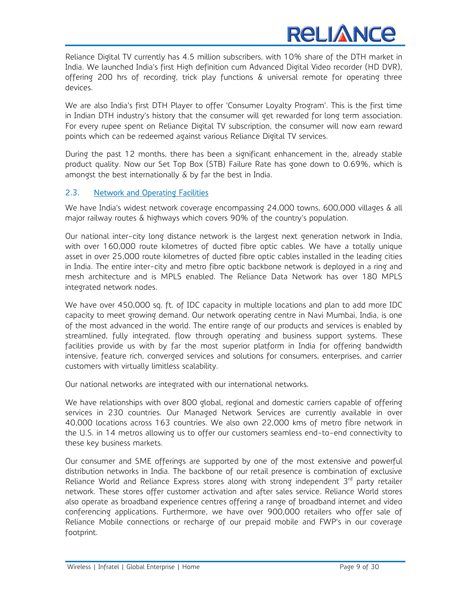Reliance Digital TV currently has 4.5 million subscribers, with 10% share of the DTH market in India. We launched India's first High definition cum Advanced Digital Video recorder (HD DVR), offering 200 hrs of recording, trick play functions & universal remote for operating three devices.

We are also India's first DTH Player to offer 'Consumer Loyalty Program'. This is the first time in Indian DTH industry's history that the consumer will get rewarded for long term association. For every rupee spent on Reliance Digital TV subscription, the consumer will now earn reward points which can be redeemed against various Reliance Digital TV services.

During the past 12 months, there has been a significant enhancement in the, already stable product quality. Now our Set Top Box (STB) Failure Rate has gone down to 0.69%, which is amongst the best internationally & by far the best in India.

#### 2.3. Network and Operating Facilities

We have India's widest network coverage encompassing 24,000 towns, 600,000 villages & all major railway routes & highways which covers 90% of the country's population.

Our national inter-city long distance network is the largest next generation network in India, with over 160,000 route kilometres of ducted fibre optic cables. We have a totally unique asset in over 25,000 route kilometres of ducted fibre optic cables installed in the leading cities in India. The entire inter-city and metro fibre optic backbone network is deployed in a ring and mesh architecture and is MPLS enabled. The Reliance Data Network has over 180 MPLS integrated network nodes.

We have over 450,000 sq. ft. of IDC capacity in multiple locations and plan to add more IDC capacity to meet growing demand. Our network operating centre in Navi Mumbai, India, is one of the most advanced in the world. The entire range of our products and services is enabled by streamlined, fully integrated, flow through operating and business support systems. These facilities provide us with by far the most superior platform in India for offering bandwidth intensive, feature rich, converged services and solutions for consumers, enterprises, and carrier customers with virtually limitless scalability.

Our national networks are integrated with our international networks.

We have relationships with over 800 global, regional and domestic carriers capable of offering services in 230 countries. Our Managed Network Services are currently available in over 40,000 locations across 163 countries. We also own 22,000 kms of metro fibre network in the U.S. in 14 metros allowing us to offer our customers seamless end-to-end connectivity to these key business markets.

Our consumer and SME offerings are supported by one of the most extensive and powerful distribution networks in India. The backbone of our retail presence is combination of exclusive Reliance World and Reliance Express stores along with strong independent  $3<sup>rd</sup>$  party retailer network. These stores offer customer activation and after sales service. Reliance World stores also operate as broadband experience centres offering a range of broadband internet and video conferencing applications. Furthermore, we have over 900,000 retailers who offer sale of Reliance Mobile connections or recharge of our prepaid mobile and FWP's in our coverage footprint.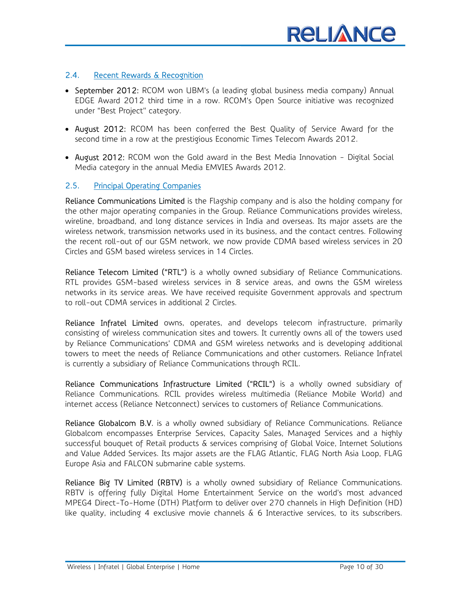#### 2.4. Recent Rewards & Recognition

- September 2012: RCOM won UBM's (a leading global business media company) Annual EDGE Award 2012 third time in a row. RCOM's Open Source initiative was recognized under "Best Project" category.
- August 2012: RCOM has been conferred the Best Quality of Service Award for the second time in a row at the prestigious Economic Times Telecom Awards 2012.
- August 2012: RCOM won the Gold award in the Best Media Innovation Digital Social Media category in the annual Media EMVIES Awards 2012.

#### 2.5. Principal Operating Companies

Reliance Communications Limited is the Flagship company and is also the holding company for the other major operating companies in the Group. Reliance Communications provides wireless, wireline, broadband, and long distance services in India and overseas. Its major assets are the wireless network, transmission networks used in its business, and the contact centres. Following the recent roll-out of our GSM network, we now provide CDMA based wireless services in 20 Circles and GSM based wireless services in 14 Circles.

Reliance Telecom Limited ("RTL") is a wholly owned subsidiary of Reliance Communications. RTL provides GSM-based wireless services in 8 service areas, and owns the GSM wireless networks in its service areas. We have received requisite Government approvals and spectrum to roll-out CDMA services in additional 2 Circles.

Reliance Infratel Limited owns, operates, and develops telecom infrastructure, primarily consisting of wireless communication sites and towers. It currently owns all of the towers used by Reliance Communications' CDMA and GSM wireless networks and is developing additional towers to meet the needs of Reliance Communications and other customers. Reliance Infratel is currently a subsidiary of Reliance Communications through RCIL.

Reliance Communications Infrastructure Limited ("RCIL") is a wholly owned subsidiary of Reliance Communications. RCIL provides wireless multimedia (Reliance Mobile World) and internet access (Reliance Netconnect) services to customers of Reliance Communications.

Reliance Globalcom B.V. is a wholly owned subsidiary of Reliance Communications. Reliance Globalcom encompasses Enterprise Services, Capacity Sales, Managed Services and a highly successful bouquet of Retail products & services comprising of Global Voice, Internet Solutions and Value Added Services. Its major assets are the FLAG Atlantic, FLAG North Asia Loop, FLAG Europe Asia and FALCON submarine cable systems.

Reliance Big TV Limited (RBTV) is a wholly owned subsidiary of Reliance Communications. RBTV is offering fully Digital Home Entertainment Service on the world's most advanced MPEG4 Direct-To-Home (DTH) Platform to deliver over 270 channels in High Definition (HD) like quality, including 4 exclusive movie channels & 6 Interactive services, to its subscribers.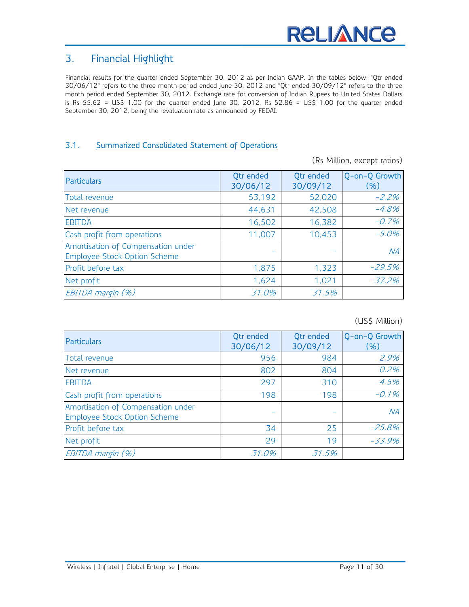## 3. Financial Highlight

Financial results for the quarter ended September 30, 2012 as per Indian GAAP. In the tables below, "Qtr ended 30/06/12" refers to the three month period ended June 30, 2012 and "Qtr ended 30/09/12" refers to the three month period ended September 30, 2012. Exchange rate for conversion of Indian Rupees to United States Dollars is Rs  $55.62 = US$$  1.00 for the quarter ended June 30, 2012, Rs  $52.86 = US$$  1.00 for the quarter ended September 30, 2012, being the revaluation rate as announced by FEDAI.

#### 3.1. Summarized Consolidated Statement of Operations

(Rs Million, except ratios)

| <b>Particulars</b>                                                        | Qtr ended<br>30/06/12 | Qtr ended<br>30/09/12 | Q-on-Q Growth<br>(%) |
|---------------------------------------------------------------------------|-----------------------|-----------------------|----------------------|
| Total revenue                                                             | 53,192                | 52,020                | $-2.2\%$             |
| Net revenue                                                               | 44,631                | 42,508                | $-4.8%$              |
| <b>EBITDA</b>                                                             | 16,502                | 16,382                | $-0.7%$              |
| Cash profit from operations                                               | 11,007                | 10,453                | $-5.0%$              |
| Amortisation of Compensation under<br><b>Employee Stock Option Scheme</b> |                       |                       | NA                   |
| Profit before tax                                                         | 1,875                 | 1,323                 | $-29.5%$             |
| Net profit                                                                | 1,624                 | 1,021                 | $-37.2%$             |
| EBITDA margin (%)                                                         | 31.0%                 | 31.5%                 |                      |

(US\$ Million)

| Particulars                                                               | <b>Qtr</b> ended<br>30/06/12 | <b>Qtr</b> ended<br>30/09/12 | Q-on-Q Growth<br>(%) |
|---------------------------------------------------------------------------|------------------------------|------------------------------|----------------------|
| Total revenue                                                             | 956                          | 984                          | 2.9%                 |
| Net revenue                                                               | 802                          | 804                          | 0.2%                 |
| <b>EBITDA</b>                                                             | 297                          | 310                          | 4.5%                 |
| Cash profit from operations                                               | 198                          | 198                          | $-0.1%$              |
| Amortisation of Compensation under<br><b>Employee Stock Option Scheme</b> |                              |                              | NA                   |
| Profit before tax                                                         | 34                           | 25                           | $-25.8%$             |
| Net profit                                                                | 29                           | 19                           | $-33.9%$             |
| EBITDA margin (%)                                                         | 31.0%                        | 31.5%                        |                      |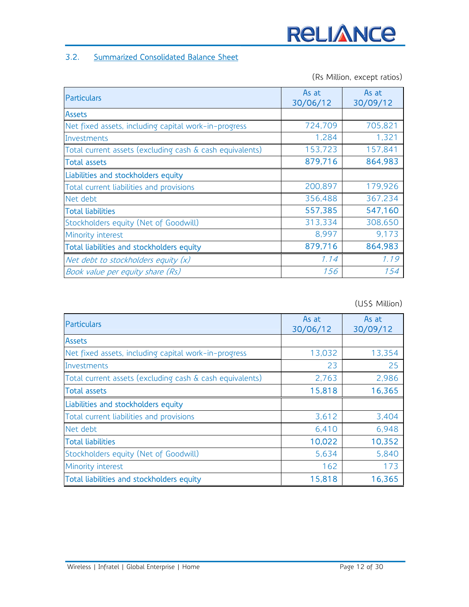### 3.2. Summarized Consolidated Balance Sheet

(Rs Million, except ratios)

| Particulars                                              | As at<br>30/06/12 | As at<br>30/09/12 |
|----------------------------------------------------------|-------------------|-------------------|
| <b>Assets</b>                                            |                   |                   |
| Net fixed assets, including capital work-in-progress     | 724,709           | 705,821           |
| Investments                                              | 1,284             | 1,321             |
| Total current assets (excluding cash & cash equivalents) | 153,723           | 157,841           |
| <b>Total assets</b>                                      | 879,716           | 864,983           |
| Liabilities and stockholders equity                      |                   |                   |
| Total current liabilities and provisions                 | 200,897           | 179,926           |
| Net debt                                                 | 356,488           | 367,234           |
| <b>Total liabilities</b>                                 | 557,385           | 547,160           |
| Stockholders equity (Net of Goodwill)                    | 313,334           | 308,650           |
| Minority interest                                        | 8,997             | 9,173             |
| Total liabilities and stockholders equity                | 879,716           | 864,983           |
| Net debt to stockholders equity $(x)$                    | 1.14              | 1.19              |
| Book value per equity share (Rs)                         | 156               | 154               |

(US\$ Million)

| <b>Particulars</b>                                       | As at<br>30/06/12 | As at<br>30/09/12 |
|----------------------------------------------------------|-------------------|-------------------|
| <b>Assets</b>                                            |                   |                   |
| Net fixed assets, including capital work-in-progress     | 13,032            | 13,354            |
| Investments                                              | 23                | 25                |
| Total current assets (excluding cash & cash equivalents) | 2,763             | 2,986             |
| Total assets                                             | 15,818            | 16,365            |
| Liabilities and stockholders equity                      |                   |                   |
| Total current liabilities and provisions                 | 3,612             | 3,404             |
| Net debt                                                 | 6,410             | 6,948             |
| <b>Total liabilities</b>                                 | 10,022            | 10,352            |
| Stockholders equity (Net of Goodwill)                    | 5,634             | 5,840             |
| Minority interest                                        | 162               | 173               |
| Total liabilities and stockholders equity                | 15,818            | 16,365            |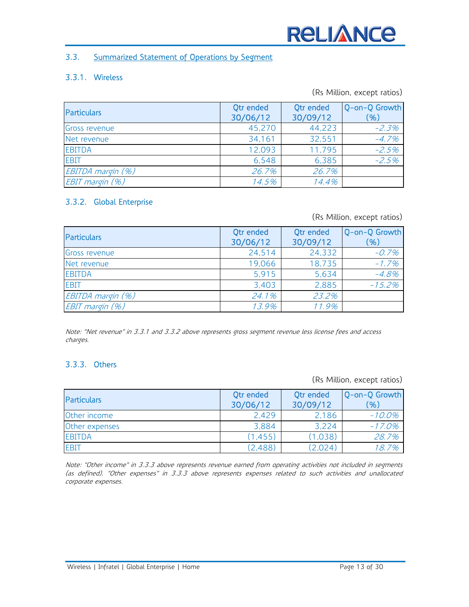#### 3.3. Summarized Statement of Operations by Segment

#### 3.3.1. Wireless

(Rs Million, except ratios)

| Particulars       | <b>Qtr</b> ended<br>30/06/12 | <b>Qtr</b> ended<br>30/09/12 | Q-on-Q Growth<br>(%) |
|-------------------|------------------------------|------------------------------|----------------------|
| Gross revenue     | 45,270                       | 44,223                       | $-2.3%$              |
| Net revenue       | 34,161                       | 32,551                       | $-4.7%$              |
| <b>EBITDA</b>     | 12,093                       | 11,795                       | $-2.5%$              |
| <b>EBIT</b>       | 6,548                        | 6,385                        | $-2.5%$              |
| EBITDA margin (%) | 26.7%                        | 26.7%                        |                      |
| EBIT margin (%)   | 14.5%                        | 14.4%                        |                      |

#### 3.3.2. Global Enterprise

(Rs Million, except ratios)

| <b>Particulars</b> | Qtr ended<br>30/06/12 | Qtr ended<br>30/09/12 | Q-on-Q Growth<br>( %) |
|--------------------|-----------------------|-----------------------|-----------------------|
| Gross revenue      | 24,514                | 24,332                | $-0.7%$               |
| Net revenue        | 19,066                | 18,735                | $-1.7%$               |
| <b>EBITDA</b>      | 5,915                 | 5,634                 | $-4.8%$               |
| <b>EBIT</b>        | 3,403                 | 2,885                 | $-15.2%$              |
| EBITDA margin (%)  | 24.1%                 | 23.2%                 |                       |
| EBIT margin (%)    | 13.9%                 | 11.9%                 |                       |

Note: "Net revenue" in 3.3.1 and 3.3.2 above represents gross segment revenue less license fees and access charges.

#### 3.3.3. Others

(Rs Million, except ratios)

| <b>Particulars</b> | <b>Qtr</b> ended<br>30/06/12 | <b>Qtr</b> ended<br>30/09/12 | Q-on-Q Growth<br>(%) |
|--------------------|------------------------------|------------------------------|----------------------|
| Other income       | 2.429                        | 2,186                        | $-10.0\%$            |
| Other expenses     | 3,884                        | 3,224                        | $-17.0%$             |
| <b>EBITDA</b>      | (1, 455)                     | (1,038)                      | 28.7%                |
| <b>EBIT</b>        | (2, 488)                     | (2,024)                      | 18.7%                |

Note: "Other income" in 3.3.3 above represents revenue earned from operating activities not included in segments (as defined). "Other expenses" in 3.3.3 above represents expenses related to such activities and unallocated corporate expenses.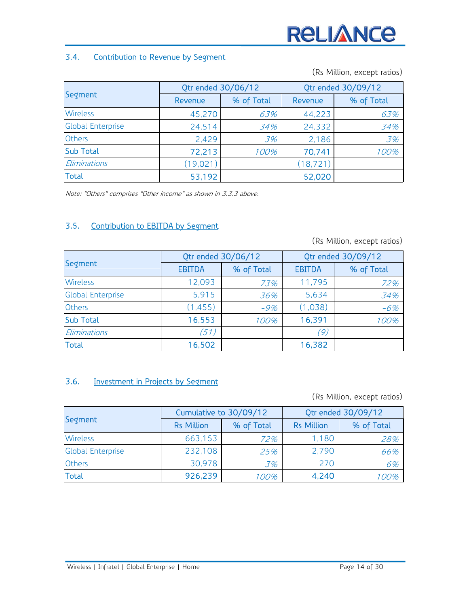#### 3.4. Contribution to Revenue by Segment

(Rs Million, except ratios)

|                          | Qtr ended 30/06/12 |            | Qtr ended 30/09/12 |            |  |
|--------------------------|--------------------|------------|--------------------|------------|--|
| Segment                  | Revenue            | % of Total | Revenue            | % of Total |  |
| <b>Wireless</b>          | 45,270             | 63%        | 44,223             | 63%        |  |
| <b>Global Enterprise</b> | 24,514             | 34%        | 24,332             | 34%        |  |
| <b>Others</b>            | 2,429              | 3%         | 2,186              | 3%         |  |
| <b>Sub Total</b>         | 72,213             | 100%       | 70,741             | 100%       |  |
| Eliminations             | (19, 021)          |            | (18, 721)          |            |  |
| <b>Total</b>             | 53,192             |            | 52,020             |            |  |

Note: "Others" comprises "Other income" as shown in 3.3.3 above.

#### 3.5. Contribution to EBITDA by Segment

(Rs Million, except ratios)

|                          | Qtr ended 30/06/12 |            | Qtr ended 30/09/12 |            |  |
|--------------------------|--------------------|------------|--------------------|------------|--|
| Segment                  | <b>EBITDA</b>      | % of Total | <b>EBITDA</b>      | % of Total |  |
| <b>Wireless</b>          | 12,093             | 73%        | 11,795             | 72%        |  |
| <b>Global Enterprise</b> | 5,915              | 36%        | 5,634              | 34%        |  |
| <b>Others</b>            | (1, 455)           | $-9%$      | (1,038)            | $-6%$      |  |
| <b>Sub Total</b>         | 16,553             | 100%       | 16,391             | 100%       |  |
| Eliminations             | (51)               |            | (9)                |            |  |
| <b>Total</b>             | 16,502             |            | 16,382             |            |  |

#### 3.6. Investment in Projects by Segment

(Rs Million, except ratios)

|                          | Cumulative to 30/09/12 |            | Qtr ended 30/09/12 |            |
|--------------------------|------------------------|------------|--------------------|------------|
| Segment                  | <b>Rs Million</b>      | % of Total | <b>Rs Million</b>  | % of Total |
| <b>Wireless</b>          | 663,153                | 72%        | 1,180              | 28%        |
| <b>Global Enterprise</b> | 232,108                | 25%        | 2,790              | 66%        |
| <b>Others</b>            | 30,978                 | 3%         | 270                | 6%         |
| <b>Total</b>             | 926,239                | 100%       | 4,240              | 1 00%      |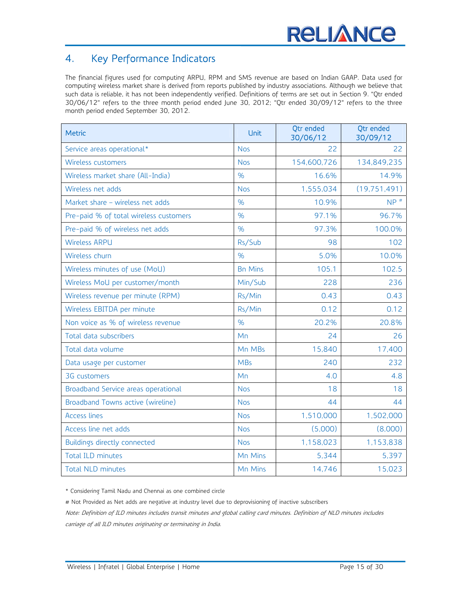## 4. Key Performance Indicators

The financial figures used for computing ARPU, RPM and SMS revenue are based on Indian GAAP. Data used for computing wireless market share is derived from reports published by industry associations. Although we believe that such data is reliable, it has not been independently verified. Definitions of terms are set out in Section 9. "Qtr ended 30/06/12" refers to the three month period ended June 30, 2012; "Qtr ended 30/09/12" refers to the three month period ended September 30, 2012.

| <b>Metric</b>                          | <b>Unit</b>    | Otr ended<br>30/06/12 | Otr ended<br>30/09/12 |
|----------------------------------------|----------------|-----------------------|-----------------------|
| Service areas operational*             | <b>Nos</b>     | 22                    | 22                    |
| Wireless customers                     | <b>Nos</b>     | 154,600,726           | 134,849,235           |
| Wireless market share (All-India)      | $\frac{9}{6}$  | 16.6%                 | 14.9%                 |
| Wireless net adds                      | <b>Nos</b>     | 1,555,034             | (19, 751, 491)        |
| Market share - wireless net adds       | $\frac{9}{6}$  | 10.9%                 | $NP$ <sup>#</sup>     |
| Pre-paid % of total wireless customers | %              | 97.1%                 | 96.7%                 |
| Pre-paid % of wireless net adds        | $\%$           | 97.3%                 | 100.0%                |
| <b>Wireless ARPU</b>                   | Rs/Sub         | 98                    | 102                   |
| Wireless churn                         | $\%$           | 5.0%                  | 10.0%                 |
| Wireless minutes of use (MoU)          | <b>Bn Mins</b> | 105.1                 | 102.5                 |
| Wireless MoU per customer/month        | Min/Sub        | 228                   | 236                   |
| Wireless revenue per minute (RPM)      | Rs/Min         | 0.43                  | 0.43                  |
| Wireless EBITDA per minute             | Rs/Min         | 0.12                  | 0.12                  |
| Non voice as % of wireless revenue     | %              | 20.2%                 | 20.8%                 |
| Total data subscribers                 | Mn             | 24                    | 26                    |
| Total data volume                      | Mn MBs         | 15,840                | 17,400                |
| Data usage per customer                | <b>MBs</b>     | 240                   | 232                   |
| 3G customers                           | Mn             | 4.0                   | 4.8                   |
| Broadband Service areas operational    | <b>Nos</b>     | 18                    | 18                    |
| Broadband Towns active (wireline)      | <b>Nos</b>     | 44                    | 44                    |
| <b>Access lines</b>                    | <b>Nos</b>     | 1,510,000             | 1,502,000             |
| Access line net adds                   | <b>Nos</b>     | (5,000)               | (8,000)               |
| Buildings directly connected           | <b>Nos</b>     | 1,158,023             | 1,153,838             |
| <b>Total ILD minutes</b>               | Mn Mins        | 5,344                 | 5,397                 |
| <b>Total NLD minutes</b>               | Mn Mins        | 14,746                | 15,023                |

\* Considering Tamil Nadu and Chennai as one combined circle

# Not Provided as Net adds are negative at industry level due to deprovisioning of inactive subscribers

Note: Definition of ILD minutes includes transit minutes and global calling card minutes. Definition of NLD minutes includes carriage of all ILD minutes originating or terminating in India.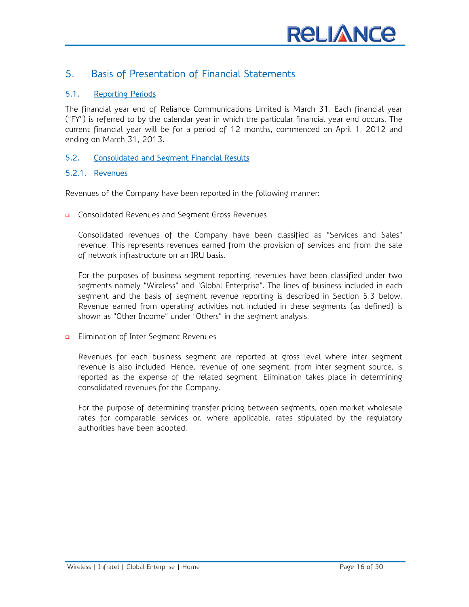## 5. Basis of Presentation of Financial Statements

#### 5.1. Reporting Periods

The financial year end of Reliance Communications Limited is March 31. Each financial year ("FY") is referred to by the calendar year in which the particular financial year end occurs. The current financial year will be for a period of 12 months, commenced on April 1, 2012 and ending on March 31, 2013.

#### 5.2. Consolidated and Segment Financial Results

#### 5.2.1. Revenues

Revenues of the Company have been reported in the following manner:

**Q** Consolidated Revenues and Segment Gross Revenues

Consolidated revenues of the Company have been classified as "Services and Sales" revenue. This represents revenues earned from the provision of services and from the sale of network infrastructure on an IRU basis.

For the purposes of business segment reporting, revenues have been classified under two segments namely "Wireless" and "Global Enterprise". The lines of business included in each segment and the basis of segment revenue reporting is described in Section 5.3 below. Revenue earned from operating activities not included in these segments (as defined) is shown as "Other Income" under "Others" in the segment analysis.

**B** Elimination of Inter Segment Revenues

Revenues for each business segment are reported at gross level where inter segment revenue is also included. Hence, revenue of one segment, from inter segment source, is reported as the expense of the related segment. Elimination takes place in determining consolidated revenues for the Company.

For the purpose of determining transfer pricing between segments, open market wholesale rates for comparable services or, where applicable, rates stipulated by the regulatory authorities have been adopted.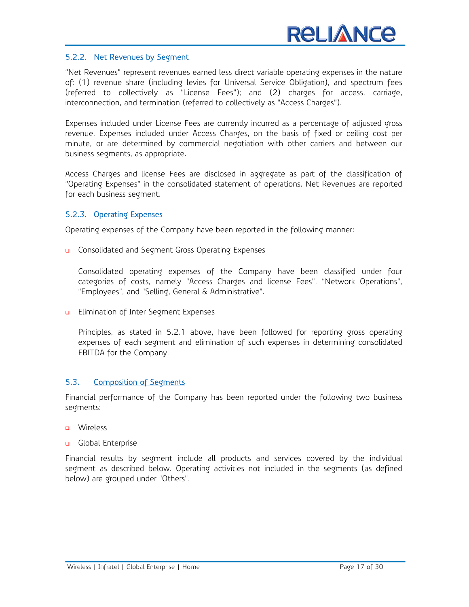#### 5.2.2. Net Revenues by Segment

"Net Revenues" represent revenues earned less direct variable operating expenses in the nature of: (1) revenue share (including levies for Universal Service Obligation), and spectrum fees (referred to collectively as "License Fees"); and (2) charges for access, carriage, interconnection, and termination (referred to collectively as "Access Charges").

Expenses included under License Fees are currently incurred as a percentage of adjusted gross revenue. Expenses included under Access Charges, on the basis of fixed or ceiling cost per minute, or are determined by commercial negotiation with other carriers and between our business segments, as appropriate.

Access Charges and license Fees are disclosed in aggregate as part of the classification of "Operating Expenses" in the consolidated statement of operations. Net Revenues are reported for each business segment.

#### 5.2.3. Operating Expenses

Operating expenses of the Company have been reported in the following manner:

**Q** Consolidated and Segment Gross Operating Expenses

Consolidated operating expenses of the Company have been classified under four categories of costs, namely "Access Charges and license Fees", "Network Operations", "Employees", and "Selling, General & Administrative".

**B** Elimination of Inter Segment Expenses

Principles, as stated in 5.2.1 above, have been followed for reporting gross operating expenses of each segment and elimination of such expenses in determining consolidated EBITDA for the Company.

#### 5.3. Composition of Segments

Financial performance of the Company has been reported under the following two business segments:

- **u** Wireless
- Global Enterprise

Financial results by segment include all products and services covered by the individual segment as described below. Operating activities not included in the segments (as defined below) are grouped under "Others".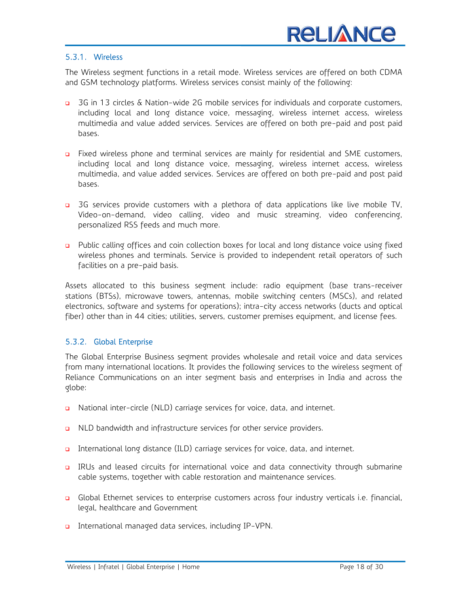#### 5.3.1. Wireless

The Wireless segment functions in a retail mode. Wireless services are offered on both CDMA and GSM technology platforms. Wireless services consist mainly of the following:

- 3G in 13 circles & Nation-wide 2G mobile services for individuals and corporate customers, including local and long distance voice, messaging, wireless internet access, wireless multimedia and value added services. Services are offered on both pre-paid and post paid bases.
- Fixed wireless phone and terminal services are mainly for residential and SME customers, including local and long distance voice, messaging, wireless internet access, wireless multimedia, and value added services. Services are offered on both pre-paid and post paid bases.
- 3G services provide customers with a plethora of data applications like live mobile TV, Video-on-demand, video calling, video and music streaming, video conferencing, personalized RSS feeds and much more.
- Public calling offices and coin collection boxes for local and long distance voice using fixed wireless phones and terminals. Service is provided to independent retail operators of such facilities on a pre-paid basis.

Assets allocated to this business segment include: radio equipment (base trans-receiver stations (BTSs), microwave towers, antennas, mobile switching centers (MSCs), and related electronics, software and systems for operations); intra-city access networks (ducts and optical fiber) other than in 44 cities; utilities, servers, customer premises equipment, and license fees.

#### 5.3.2. Global Enterprise

The Global Enterprise Business segment provides wholesale and retail voice and data services from many international locations. It provides the following services to the wireless segment of Reliance Communications on an inter segment basis and enterprises in India and across the globe:

- National inter-circle (NLD) carriage services for voice, data, and internet.
- **D** NLD bandwidth and infrastructure services for other service providers.
- International long distance (ILD) carriage services for voice, data, and internet.
- IRUs and leased circuits for international voice and data connectivity through submarine cable systems, together with cable restoration and maintenance services.
- Global Ethernet services to enterprise customers across four industry verticals i.e. financial, legal, healthcare and Government
- International managed data services, including IP-VPN.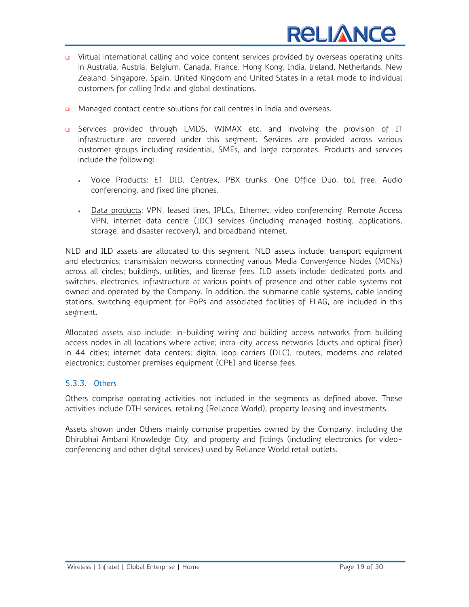- Virtual international calling and voice content services provided by overseas operating units in Australia, Austria, Belgium, Canada, France, Hong Kong, India, Ireland, Netherlands, New Zealand, Singapore, Spain, United Kingdom and United States in a retail mode to individual customers for calling India and global destinations.
- **Q** Managed contact centre solutions for call centres in India and overseas.
- Services provided through LMDS, WIMAX etc. and involving the provision of IT infrastructure are covered under this segment. Services are provided across various customer groups including residential, SMEs, and large corporates. Products and services include the following:
	- Voice Products: E1 DID, Centrex, PBX trunks, One Office Duo, toll free, Audio conferencing, and fixed line phones.
	- Data products: VPN, leased lines, IPLCs, Ethernet, video conferencing, Remote Access VPN, internet data centre (IDC) services (including managed hosting, applications, storage, and disaster recovery), and broadband internet.

NLD and ILD assets are allocated to this segment. NLD assets include: transport equipment and electronics; transmission networks connecting various Media Convergence Nodes (MCNs) across all circles; buildings, utilities, and license fees. ILD assets include: dedicated ports and switches, electronics, infrastructure at various points of presence and other cable systems not owned and operated by the Company. In addition, the submarine cable systems, cable landing stations, switching equipment for PoPs and associated facilities of FLAG, are included in this segment.

Allocated assets also include: in-building wiring and building access networks from building access nodes in all locations where active; intra-city access networks (ducts and optical fiber) in 44 cities; internet data centers; digital loop carriers (DLC), routers, modems and related electronics; customer premises equipment (CPE) and license fees.

#### 5.3.3. Others

Others comprise operating activities not included in the segments as defined above. These activities include DTH services, retailing (Reliance World), property leasing and investments.

Assets shown under Others mainly comprise properties owned by the Company, including the Dhirubhai Ambani Knowledge City, and property and fittings (including electronics for videoconferencing and other digital services) used by Reliance World retail outlets.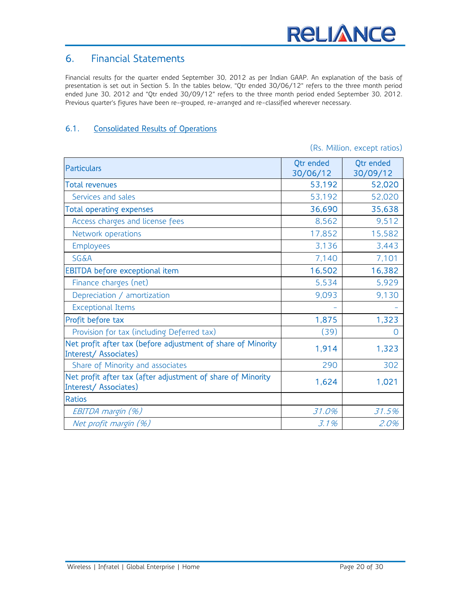## 6. Financial Statements

Financial results for the quarter ended September 30, 2012 as per Indian GAAP. An explanation of the basis of presentation is set out in Section 5. In the tables below, "Qtr ended 30/06/12" refers to the three month period ended June 30, 2012 and "Qtr ended 30/09/12" refers to the three month period ended September 30, 2012. Previous quarter's figures have been re-grouped, re-arranged and re-classified wherever necessary.

#### 6.1. Consolidated Results of Operations

|                                                                                       |                       | (Rs. Million, except ratios) |
|---------------------------------------------------------------------------------------|-----------------------|------------------------------|
| <b>Particulars</b>                                                                    | Qtr ended<br>30/06/12 | Qtr ended<br>30/09/12        |
| <b>Total revenues</b>                                                                 | 53,192                | 52,020                       |
| Services and sales                                                                    | 53,192                | 52,020                       |
| <b>Total operating expenses</b>                                                       | 36,690                | 35,638                       |
| Access charges and license fees                                                       | 8,562                 | 9,512                        |
| Network operations                                                                    | 17,852                | 15,582                       |
| <b>Employees</b>                                                                      | 3,136                 | 3,443                        |
| <b>SG&amp;A</b>                                                                       | 7,140                 | 7,101                        |
| EBITDA before exceptional item                                                        | 16,502                | 16,382                       |
| Finance charges (net)                                                                 | 5,534                 | 5,929                        |
| Depreciation / amortization                                                           | 9,093                 | 9,130                        |
| <b>Exceptional Items</b>                                                              |                       |                              |
| Profit before tax                                                                     | 1,875                 | 1,323                        |
| Provision for tax (including Deferred tax)                                            | (39)                  | Ω                            |
| Net profit after tax (before adjustment of share of Minority<br>Interest/ Associates) | 1,914                 | 1,323                        |
| Share of Minority and associates                                                      | 290                   | 302                          |
| Net profit after tax (after adjustment of share of Minority<br>Interest/ Associates)  | 1,624                 | 1,021                        |
| <b>Ratios</b>                                                                         |                       |                              |
| EBITDA margin (%)                                                                     | 31.0%                 | 31.5%                        |
| Net profit margin (%)                                                                 | 3.1%                  | 2.0%                         |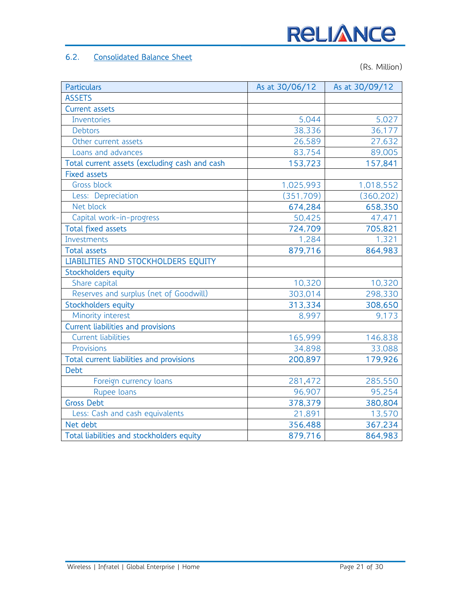### 6.2. Consolidated Balance Sheet

(Rs. Million)

| <b>Particulars</b>                            | As at 30/06/12 | As at 30/09/12 |
|-----------------------------------------------|----------------|----------------|
| <b>ASSETS</b>                                 |                |                |
| <b>Current assets</b>                         |                |                |
| Inventories                                   | 5,044          | 5,027          |
| <b>Debtors</b>                                | 38,336         | 36,177         |
| Other current assets                          | 26,589         | 27,632         |
| Loans and advances                            | 83,754         | 89,005         |
| Total current assets (excluding cash and cash | 153,723        | 157,841        |
| <b>Fixed assets</b>                           |                |                |
| <b>Gross block</b>                            | 1,025,993      | 1,018,552      |
| Less: Depreciation                            | (351, 709)     | (360, 202)     |
| Net block                                     | 674,284        | 658,350        |
| Capital work-in-progress                      | 50,425         | 47,471         |
| <b>Total fixed assets</b>                     | 724,709        | 705,821        |
| Investments                                   | 1,284          | 1,321          |
| <b>Total assets</b>                           | 879,716        | 864,983        |
| LIABILITIES AND STOCKHOLDERS EQUITY           |                |                |
| <b>Stockholders equity</b>                    |                |                |
| Share capital                                 | 10,320         | 10,320         |
| Reserves and surplus (net of Goodwill)        | 303,014        | 298,330        |
| <b>Stockholders equity</b>                    | 313,334        | 308,650        |
| Minority interest                             | 8,997          | 9,173          |
| <b>Current liabilities and provisions</b>     |                |                |
| Current liabilities                           | 165,999        | 146,838        |
| Provisions                                    | 34,898         | 33,088         |
| Total current liabilities and provisions      | 200,897        | 179,926        |
| <b>Debt</b>                                   |                |                |
| Foreign currency loans                        | 281,472        | 285,550        |
| Rupee loans                                   | 96,907         | 95,254         |
| <b>Gross Debt</b>                             | 378,379        | 380,804        |
| Less: Cash and cash equivalents               | 21,891         | 13,570         |
| Net debt                                      | 356,488        | 367,234        |
| Total liabilities and stockholders equity     | 879,716        | 864,983        |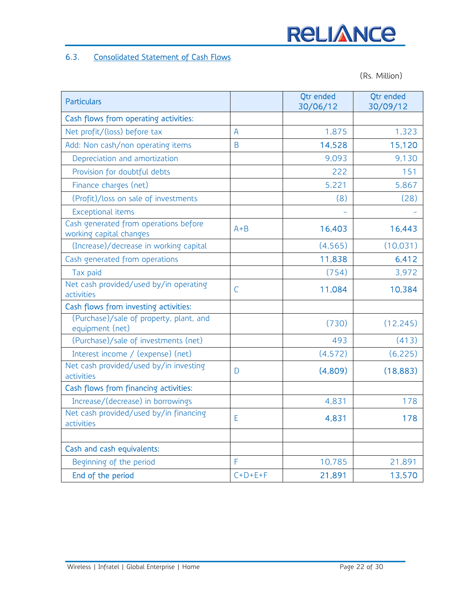### 6.3. Consolidated Statement of Cash Flows

(Rs. Million)

| <b>Particulars</b>                                               |                | Otr ended<br>30/06/12 | <b>Qtr</b> ended<br>30/09/12 |
|------------------------------------------------------------------|----------------|-----------------------|------------------------------|
| Cash flows from operating activities:                            |                |                       |                              |
| Net profit/(loss) before tax                                     | A              | 1,875                 | 1,323                        |
| Add: Non cash/non operating items                                | B              | 14,528                | 15,120                       |
| Depreciation and amortization                                    |                | 9,093                 | 9,130                        |
| Provision for doubtful debts                                     |                | 222                   | 151                          |
| Finance charges (net)                                            |                | 5,221                 | 5,867                        |
| (Profit)/loss on sale of investments                             |                | (8)                   | (28)                         |
| Exceptional items                                                |                |                       |                              |
| Cash generated from operations before<br>working capital changes | $A + B$        | 16,403                | 16,443                       |
| (Increase)/decrease in working capital                           |                | (4, 565)              | (10, 031)                    |
| Cash generated from operations                                   |                | 11,838                | 6,412                        |
| Tax paid                                                         |                | (754)                 | 3,972                        |
| Net cash provided/used by/in operating<br>activities             | $\overline{C}$ | 11,084                | 10,384                       |
| Cash flows from investing activities:                            |                |                       |                              |
| (Purchase)/sale of property, plant, and<br>equipment (net)       |                | (730)                 | (12, 245)                    |
| (Purchase)/sale of investments (net)                             |                | 493                   | (413)                        |
| Interest income / (expense) (net)                                |                | (4, 572)              | (6, 225)                     |
| Net cash provided/used by/in investing<br>activities             | D              | (4,809)               | (18, 883)                    |
| Cash flows from financing activities:                            |                |                       |                              |
| Increase/(decrease) in borrowings                                |                | 4,831                 | 178                          |
| Net cash provided/used by/in financing<br>activities             | E              | 4,831                 | 178                          |
|                                                                  |                |                       |                              |
| Cash and cash equivalents:                                       |                |                       |                              |
| Beginning of the period                                          | F              | 10,785                | 21,891                       |
| End of the period                                                | $C+D+E+F$      | 21,891                | 13,570                       |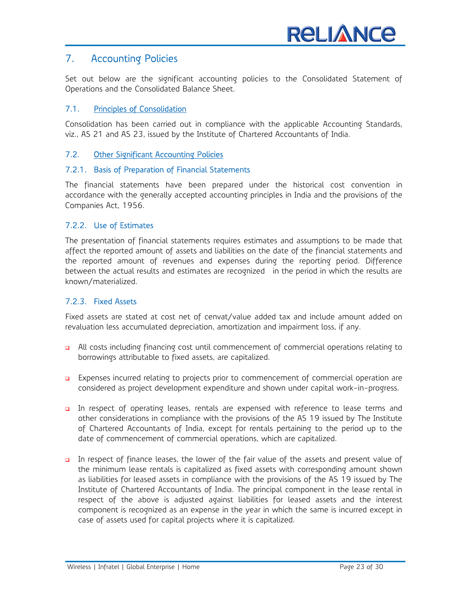### 7. Accounting Policies

Set out below are the significant accounting policies to the Consolidated Statement of Operations and the Consolidated Balance Sheet.

#### 7.1. Principles of Consolidation

Consolidation has been carried out in compliance with the applicable Accounting Standards, viz., AS 21 and AS 23, issued by the Institute of Chartered Accountants of India.

#### 7.2. Other Significant Accounting Policies

#### 7.2.1. Basis of Preparation of Financial Statements

The financial statements have been prepared under the historical cost convention in accordance with the generally accepted accounting principles in India and the provisions of the Companies Act, 1956.

#### 7.2.2. Use of Estimates

The presentation of financial statements requires estimates and assumptions to be made that affect the reported amount of assets and liabilities on the date of the financial statements and the reported amount of revenues and expenses during the reporting period. Difference between the actual results and estimates are recognized in the period in which the results are known/materialized.

#### 7.2.3. Fixed Assets

Fixed assets are stated at cost net of cenvat/value added tax and include amount added on revaluation less accumulated depreciation, amortization and impairment loss, if any.

- All costs including financing cost until commencement of commercial operations relating to borrowings attributable to fixed assets, are capitalized.
- Expenses incurred relating to projects prior to commencement of commercial operation are considered as project development expenditure and shown under capital work-in-progress.
- In respect of operating leases, rentals are expensed with reference to lease terms and other considerations in compliance with the provisions of the AS 19 issued by The Institute of Chartered Accountants of India, except for rentals pertaining to the period up to the date of commencement of commercial operations, which are capitalized.
- In respect of finance leases, the lower of the fair value of the assets and present value of the minimum lease rentals is capitalized as fixed assets with corresponding amount shown as liabilities for leased assets in compliance with the provisions of the AS 19 issued by The Institute of Chartered Accountants of India. The principal component in the lease rental in respect of the above is adjusted against liabilities for leased assets and the interest component is recognized as an expense in the year in which the same is incurred except in case of assets used for capital projects where it is capitalized.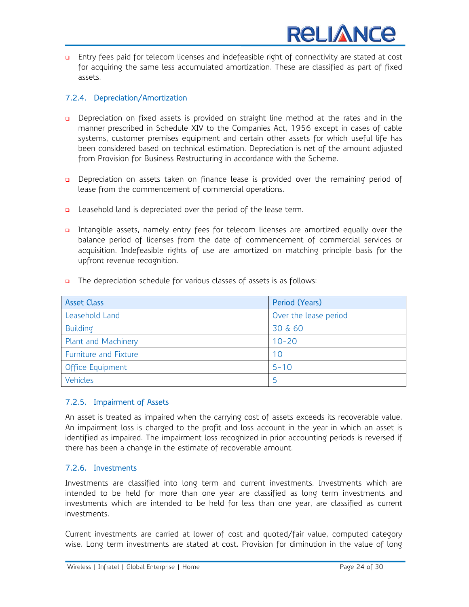Entry fees paid for telecom licenses and indefeasible right of connectivity are stated at cost for acquiring the same less accumulated amortization. These are classified as part of fixed assets.

#### 7.2.4. Depreciation/Amortization

- Depreciation on fixed assets is provided on straight line method at the rates and in the manner prescribed in Schedule XIV to the Companies Act, 1956 except in cases of cable systems, customer premises equipment and certain other assets for which useful life has been considered based on technical estimation. Depreciation is net of the amount adjusted from Provision for Business Restructuring in accordance with the Scheme.
- Depreciation on assets taken on finance lease is provided over the remaining period of lease from the commencement of commercial operations.
- Leasehold land is depreciated over the period of the lease term.
- Intangible assets, namely entry fees for telecom licenses are amortized equally over the balance period of licenses from the date of commencement of commercial services or acquisition. Indefeasible rights of use are amortized on matching principle basis for the upfront revenue recognition.

| <b>Asset Class</b>    | Period (Years)        |
|-----------------------|-----------------------|
| Leasehold Land        | Over the lease period |
| <b>Building</b>       | 30 & 60               |
| Plant and Machinery   | $10 - 20$             |
| Furniture and Fixture | 10                    |
| Office Equipment      | $5 - 10$              |
| <b>Vehicles</b>       |                       |

**n** The depreciation schedule for various classes of assets is as follows:

### 7.2.5. Impairment of Assets

An asset is treated as impaired when the carrying cost of assets exceeds its recoverable value. An impairment loss is charged to the profit and loss account in the year in which an asset is identified as impaired. The impairment loss recognized in prior accounting periods is reversed if there has been a change in the estimate of recoverable amount.

### 7.2.6. Investments

Investments are classified into long term and current investments. Investments which are intended to be held for more than one year are classified as long term investments and investments which are intended to be held for less than one year, are classified as current investments.

Current investments are carried at lower of cost and quoted/fair value, computed category wise. Long term investments are stated at cost. Provision for diminution in the value of long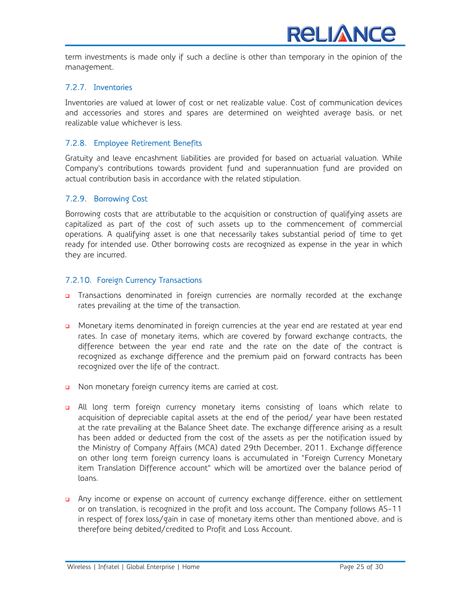

term investments is made only if such a decline is other than temporary in the opinion of the management.

#### 7.2.7. Inventories

Inventories are valued at lower of cost or net realizable value. Cost of communication devices and accessories and stores and spares are determined on weighted average basis, or net realizable value whichever is less.

#### 7.2.8. Employee Retirement Benefits

Gratuity and leave encashment liabilities are provided for based on actuarial valuation. While Company's contributions towards provident fund and superannuation fund are provided on actual contribution basis in accordance with the related stipulation.

#### 7.2.9. Borrowing Cost

Borrowing costs that are attributable to the acquisition or construction of qualifying assets are capitalized as part of the cost of such assets up to the commencement of commercial operations. A qualifying asset is one that necessarily takes substantial period of time to get ready for intended use. Other borrowing costs are recognized as expense in the year in which they are incurred.

#### 7.2.10. Foreign Currency Transactions

- Transactions denominated in foreign currencies are normally recorded at the exchange rates prevailing at the time of the transaction.
- Monetary items denominated in foreign currencies at the year end are restated at year end rates. In case of monetary items, which are covered by forward exchange contracts, the difference between the year end rate and the rate on the date of the contract is recognized as exchange difference and the premium paid on forward contracts has been recognized over the life of the contract.
- **D** Non monetary foreign currency items are carried at cost.
- All long term foreign currency monetary items consisting of loans which relate to acquisition of depreciable capital assets at the end of the period/ year have been restated at the rate prevailing at the Balance Sheet date. The exchange difference arising as a result has been added or deducted from the cost of the assets as per the notification issued by the Ministry of Company Affairs (MCA) dated 29th December, 2011. Exchange difference on other long term foreign currency loans is accumulated in "Foreign Currency Monetary item Translation Difference account" which will be amortized over the balance period of loans.
- Any income or expense on account of currency exchange difference, either on settlement or on translation, is recognized in the profit and loss account. The Company follows AS-11 in respect of forex loss/gain in case of monetary items other than mentioned above, and is therefore being debited/credited to Profit and Loss Account.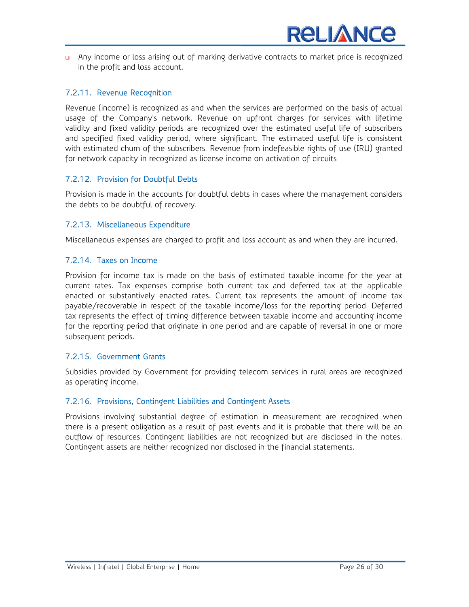

 Any income or loss arising out of marking derivative contracts to market price is recognized in the profit and loss account.

#### 7.2.11. Revenue Recognition

Revenue (income) is recognized as and when the services are performed on the basis of actual usage of the Company's network. Revenue on upfront charges for services with lifetime validity and fixed validity periods are recognized over the estimated useful life of subscribers and specified fixed validity period, where significant. The estimated useful life is consistent with estimated churn of the subscribers. Revenue from indefeasible rights of use (IRU) granted for network capacity in recognized as license income on activation of circuits

#### 7.2.12. Provision for Doubtful Debts

Provision is made in the accounts for doubtful debts in cases where the management considers the debts to be doubtful of recovery.

#### 7.2.13. Miscellaneous Expenditure

Miscellaneous expenses are charged to profit and loss account as and when they are incurred.

#### 7.2.14. Taxes on Income

Provision for income tax is made on the basis of estimated taxable income for the year at current rates. Tax expenses comprise both current tax and deferred tax at the applicable enacted or substantively enacted rates. Current tax represents the amount of income tax payable/recoverable in respect of the taxable income/loss for the reporting period. Deferred tax represents the effect of timing difference between taxable income and accounting income for the reporting period that originate in one period and are capable of reversal in one or more subsequent periods.

#### 7.2.15. Government Grants

Subsidies provided by Government for providing telecom services in rural areas are recognized as operating income.

#### 7.2.16. Provisions, Contingent Liabilities and Contingent Assets

Provisions involving substantial degree of estimation in measurement are recognized when there is a present obligation as a result of past events and it is probable that there will be an outflow of resources. Contingent liabilities are not recognized but are disclosed in the notes. Contingent assets are neither recognized nor disclosed in the financial statements.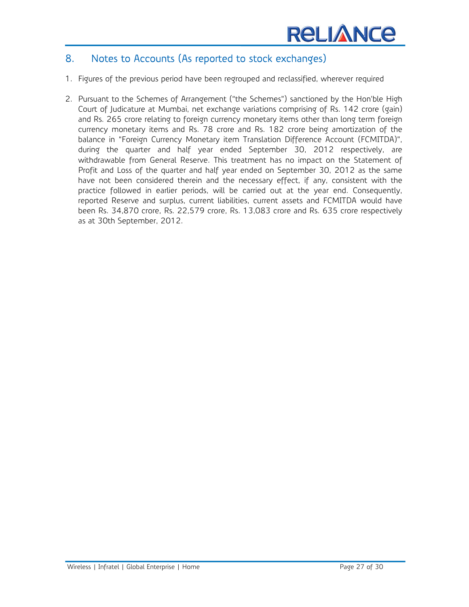### 8. Notes to Accounts (As reported to stock exchanges)

- 1. Figures of the previous period have been regrouped and reclassified, wherever required
- 2. Pursuant to the Schemes of Arrangement ("the Schemes") sanctioned by the Hon'ble High Court of Judicature at Mumbai, net exchange variations comprising of Rs. 142 crore (gain) and Rs. 265 crore relating to foreign currency monetary items other than long term foreign currency monetary items and Rs. 78 crore and Rs. 182 crore being amortization of the balance in "Foreign Currency Monetary item Translation Difference Account (FCMITDA)", during the quarter and half year ended September 30, 2012 respectively, are withdrawable from General Reserve. This treatment has no impact on the Statement of Profit and Loss of the quarter and half year ended on September 30, 2012 as the same have not been considered therein and the necessary effect, if any, consistent with the practice followed in earlier periods, will be carried out at the year end. Consequently, reported Reserve and surplus, current liabilities, current assets and FCMITDA would have been Rs. 34,870 crore, Rs. 22,579 crore, Rs. 13,083 crore and Rs. 635 crore respectively as at 30th September, 2012.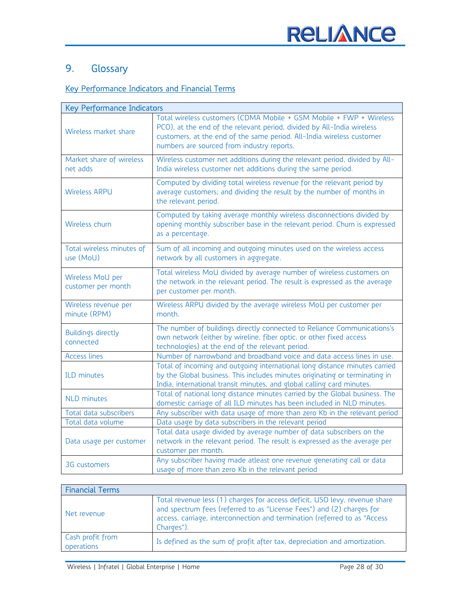## 9. Glossary

### Key Performance Indicators and Financial Terms

| <b>Key Performance Indicators</b>      |                                                                                                                                                                                                                                                                      |  |
|----------------------------------------|----------------------------------------------------------------------------------------------------------------------------------------------------------------------------------------------------------------------------------------------------------------------|--|
| Wireless market share                  | Total wireless customers (CDMA Mobile + GSM Mobile + FWP + Wireless<br>PCO), at the end of the relevant period, divided by All-India wireless<br>customers, at the end of the same period. All-India wireless customer<br>numbers are sourced from industry reports. |  |
| Market share of wireless<br>net adds   | Wireless customer net additions during the relevant period, divided by All-<br>India wireless customer net additions during the same period.                                                                                                                         |  |
| <b>Wireless ARPU</b>                   | Computed by dividing total wireless revenue for the relevant period by<br>average customers; and dividing the result by the number of months in<br>the relevant period.                                                                                              |  |
| Wireless churn                         | Computed by taking average monthly wireless disconnections divided by<br>opening monthly subscriber base in the relevant period. Churn is expressed<br>as a percentage.                                                                                              |  |
| Total wireless minutes of<br>use (MoU) | Sum of all incoming and outgoing minutes used on the wireless access<br>network by all customers in aggregate.                                                                                                                                                       |  |
| Wireless MoU per<br>customer per month | Total wireless MoU divided by average number of wireless customers on<br>the network in the relevant period. The result is expressed as the average<br>per customer per month.                                                                                       |  |
| Wireless revenue per<br>minute (RPM)   | Wireless ARPU divided by the average wireless MoU per customer per<br>month.                                                                                                                                                                                         |  |
| <b>Buildings directly</b><br>connected | The number of buildings directly connected to Reliance Communications's<br>own network (either by wireline, fiber optic, or other fixed access<br>technologies) at the end of the relevant period.                                                                   |  |
| <b>Access lines</b>                    | Number of narrowband and broadband voice and data access lines in use.                                                                                                                                                                                               |  |
| <b>ILD</b> minutes                     | Total of incoming and outgoing international long distance minutes carried<br>by the Global business. This includes minutes originating or terminating in<br>India, international transit minutes, and global calling card minutes.                                  |  |
| <b>NLD</b> minutes                     | Total of national long distance minutes carried by the Global business. The<br>domestic carriage of all ILD minutes has been included in NLD minutes.                                                                                                                |  |
| Total data subscribers                 | Any subscriber with data usage of more than zero Kb in the relevant period                                                                                                                                                                                           |  |
| Total data volume                      | Data usage by data subscribers in the relevant period                                                                                                                                                                                                                |  |
| Data usage per customer                | Total data usage divided by average number of data subscribers on the<br>network in the relevant period. The result is expressed as the average per<br>customer per month.                                                                                           |  |
| 3G customers                           | Any subscriber having made atleast one revenue generating call or data<br>usage of more than zero Kb in the relevant period                                                                                                                                          |  |

| <b>Financial Terms</b>         |                                                                                                                                                                                                                                                |
|--------------------------------|------------------------------------------------------------------------------------------------------------------------------------------------------------------------------------------------------------------------------------------------|
| Net revenue                    | Total revenue less (1) charges for access deficit, USO levy, revenue share<br>and spectrum fees (referred to as "License Fees") and (2) charges for<br>access, carriage, interconnection and termination (referred to as "Access<br>Charges"). |
| Cash profit from<br>operations | Is defined as the sum of profit after tax, depreciation and amortization.                                                                                                                                                                      |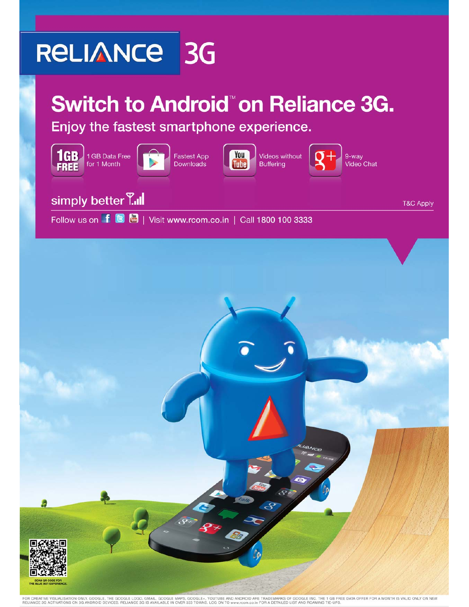

FOR CREATIVE VISUALISATION ONLY, GOOGLE, THE GOOGLE LOGO, GMAIL, GOOGLE MAPS, GOOGLE+, YOUTUBE AND ANDROID ARE TRADEMARKS OF GOOGLE INC. THE 1 GB FREE DATA OFFER FOR A MONTH IS VALID ONLY ON NEW<br>RELIANCE 3G ACTIVATIONS ON